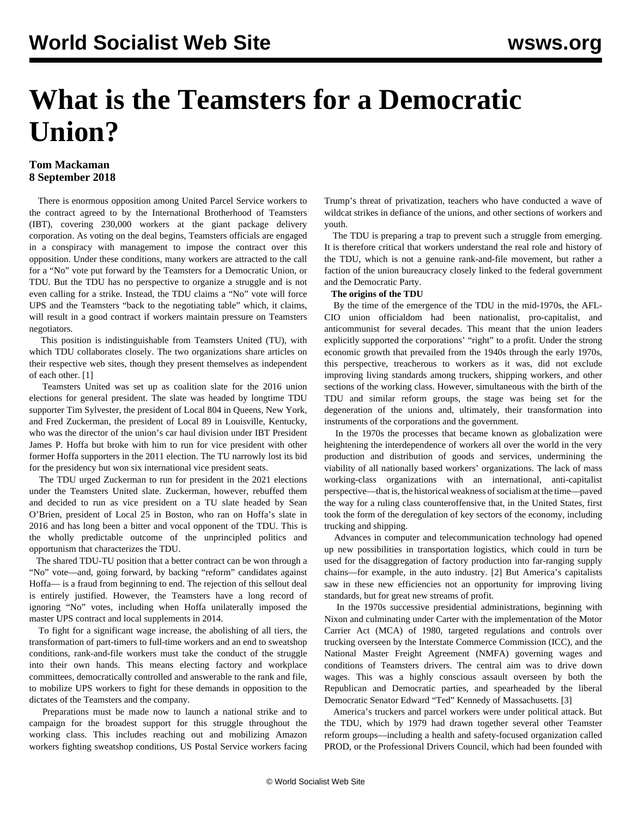# **What is the Teamsters for a Democratic Union?**

# **Tom Mackaman 8 September 2018**

 There is enormous opposition among United Parcel Service workers to the contract agreed to by the International Brotherhood of Teamsters (IBT), covering 230,000 workers at the giant package delivery corporation. As voting on the deal begins, Teamsters officials are engaged in a conspiracy with management to impose the contract over this opposition. Under these conditions, many workers are attracted to the call for a "No" vote put forward by the Teamsters for a Democratic Union, or TDU. But the TDU has no perspective to organize a struggle and is not even calling for a strike. Instead, the TDU claims a "No" vote will force UPS and the Teamsters "back to the negotiating table" which, it claims, will result in a good contract if workers maintain pressure on Teamsters negotiators.

 This position is indistinguishable from Teamsters United (TU), with which TDU collaborates closely. The two organizations share articles on their respective web sites, though they present themselves as independent of each other. [1]

 Teamsters United was set up as coalition slate for the 2016 union elections for general president. The slate was headed by longtime TDU supporter Tim Sylvester, the president of Local 804 in Queens, New York, and Fred Zuckerman, the president of Local 89 in Louisville, Kentucky, who was the director of the union's car haul division under IBT President James P. Hoffa but broke with him to run for vice president with other former Hoffa supporters in the 2011 election. The TU narrowly lost its bid for the presidency but won six international vice president seats.

 The TDU urged Zuckerman to run for president in the 2021 elections under the Teamsters United slate. Zuckerman, however, rebuffed them and decided to run as vice president on a TU slate headed by Sean O'Brien, president of Local 25 in Boston, who ran on Hoffa's slate in 2016 and has long been a bitter and vocal opponent of the TDU. This is the wholly predictable outcome of the unprincipled politics and opportunism that characterizes the TDU.

 The shared TDU-TU position that a better contract can be won through a "No" vote—and, going forward, by backing "reform" candidates against Hoffa— is a fraud from beginning to end. The rejection of this sellout deal is entirely justified. However, the Teamsters have a long record of ignoring "No" votes, including when Hoffa unilaterally imposed the master UPS contract and local supplements in 2014.

 To fight for a significant wage increase, the abolishing of all tiers, the transformation of part-timers to full-time workers and an end to sweatshop conditions, rank-and-file workers must take the conduct of the struggle into their own hands. This means electing factory and workplace committees, democratically controlled and answerable to the rank and file, to mobilize UPS workers to fight for these demands in opposition to the dictates of the Teamsters and the company.

 Preparations must be made now to launch a national strike and to campaign for the broadest support for this struggle throughout the working class. This includes reaching out and mobilizing Amazon workers fighting sweatshop conditions, US Postal Service workers facing Trump's threat of privatization, teachers who have conducted a wave of wildcat strikes in defiance of the unions, and other sections of workers and youth.

 The TDU is preparing a trap to prevent such a struggle from emerging. It is therefore critical that workers understand the real role and history of the TDU, which is not a genuine rank-and-file movement, but rather a faction of the union bureaucracy closely linked to the federal government and the Democratic Party.

## **The origins of the TDU**

 By the time of the emergence of the TDU in the mid-1970s, the AFL-CIO union officialdom had been nationalist, pro-capitalist, and anticommunist for several decades. This meant that the union leaders explicitly supported the corporations' "right" to a profit. Under the strong economic growth that prevailed from the 1940s through the early 1970s, this perspective, treacherous to workers as it was, did not exclude improving living standards among truckers, shipping workers, and other sections of the working class. However, simultaneous with the birth of the TDU and similar reform groups, the stage was being set for the degeneration of the unions and, ultimately, their transformation into instruments of the corporations and the government.

 In the 1970s the processes that became known as globalization were heightening the interdependence of workers all over the world in the very production and distribution of goods and services, undermining the viability of all nationally based workers' organizations. The lack of mass working-class organizations with an international, anti-capitalist perspective—that is, the historical weakness of socialism at the time—paved the way for a ruling class counteroffensive that, in the United States, first took the form of the deregulation of key sectors of the economy, including trucking and shipping.

 Advances in computer and telecommunication technology had opened up new possibilities in transportation logistics, which could in turn be used for the disaggregation of factory production into far-ranging supply chains—for example, in the auto industry. [2] But America's capitalists saw in these new efficiencies not an opportunity for improving living standards, but for great new streams of profit.

 In the 1970s successive presidential administrations, beginning with Nixon and culminating under Carter with the implementation of the Motor Carrier Act (MCA) of 1980, targeted regulations and controls over trucking overseen by the Interstate Commerce Commission (ICC), and the National Master Freight Agreement (NMFA) governing wages and conditions of Teamsters drivers. The central aim was to drive down wages. This was a highly conscious assault overseen by both the Republican and Democratic parties, and spearheaded by the liberal Democratic Senator Edward "Ted" Kennedy of Massachusetts. [3]

 America's truckers and parcel workers were under political attack. But the TDU, which by 1979 had drawn together several other Teamster reform groups—including a health and safety-focused organization called PROD, or the Professional Drivers Council, which had been founded with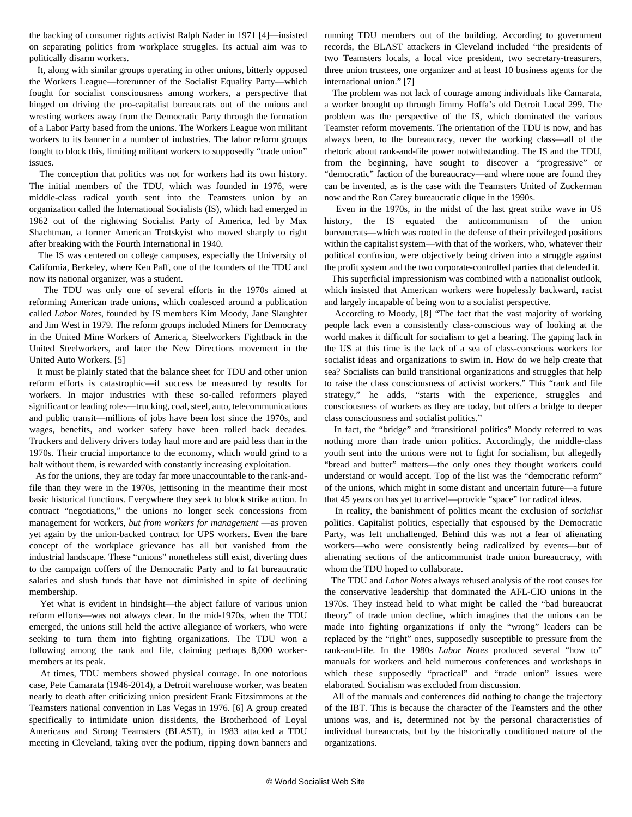the backing of consumer rights activist Ralph Nader in 1971 [4]—insisted on separating politics from workplace struggles. Its actual aim was to politically disarm workers.

 It, along with similar groups operating in other unions, bitterly opposed the Workers League—forerunner of the Socialist Equality Party—which fought for socialist consciousness among workers, a perspective that hinged on driving the pro-capitalist bureaucrats out of the unions and wresting workers away from the Democratic Party through the formation of a Labor Party based from the unions. The Workers League won militant workers to its banner in a number of industries. The labor reform groups fought to block this, limiting militant workers to supposedly "trade union" issues.

 The conception that politics was not for workers had its own history. The initial members of the TDU, which was founded in 1976, were middle-class radical youth sent into the Teamsters union by an organization called the International Socialists (IS), which had emerged in 1962 out of the rightwing Socialist Party of America, led by Max Shachtman, a former American Trotskyist who moved sharply to right after breaking with the Fourth International in 1940.

 The IS was centered on college campuses, especially the University of California, Berkeley, where Ken Paff, one of the founders of the TDU and now its national organizer, was a student.

 The TDU was only one of several efforts in the 1970s aimed at reforming American trade unions, which coalesced around a publication called *Labor Notes*, founded by IS members Kim Moody, Jane Slaughter and Jim West in 1979. The reform groups included Miners for Democracy in the United Mine Workers of America, Steelworkers Fightback in the United Steelworkers, and later the New Directions movement in the United Auto Workers. [5]

 It must be plainly stated that the balance sheet for TDU and other union reform efforts is catastrophic—if success be measured by results for workers. In major industries with these so-called reformers played significant or leading roles—trucking, coal, steel, auto, telecommunications and public transit—millions of jobs have been lost since the 1970s, and wages, benefits, and worker safety have been rolled back decades. Truckers and delivery drivers today haul more and are paid less than in the 1970s. Their crucial importance to the economy, which would grind to a halt without them, is rewarded with constantly increasing exploitation.

 As for the unions, they are today far more unaccountable to the rank-andfile than they were in the 1970s, jettisoning in the meantime their most basic historical functions. Everywhere they seek to block strike action. In contract "negotiations," the unions no longer seek concessions from management for workers, *but from workers for management* —as proven yet again by the union-backed contract for UPS workers. Even the bare concept of the workplace grievance has all but vanished from the industrial landscape. These "unions" nonetheless still exist, diverting dues to the campaign coffers of the Democratic Party and to fat bureaucratic salaries and slush funds that have not diminished in spite of declining membership.

 Yet what is evident in hindsight—the abject failure of various union reform efforts—was not always clear. In the mid-1970s, when the TDU emerged, the unions still held the active allegiance of workers, who were seeking to turn them into fighting organizations. The TDU won a following among the rank and file, claiming perhaps 8,000 workermembers at its peak.

 At times, TDU members showed physical courage. In one notorious case, Pete Camarata (1946-2014), a Detroit warehouse worker, was beaten nearly to death after criticizing union president Frank Fitzsimmons at the Teamsters national convention in Las Vegas in 1976. [6] A group created specifically to intimidate union dissidents, the Brotherhood of Loyal Americans and Strong Teamsters (BLAST), in 1983 attacked a TDU meeting in Cleveland, taking over the podium, ripping down banners and

running TDU members out of the building. According to government records, the BLAST attackers in Cleveland included "the presidents of two Teamsters locals, a local vice president, two secretary-treasurers, three union trustees, one organizer and at least 10 business agents for the international union." [7]

 The problem was not lack of courage among individuals like Camarata, a worker brought up through Jimmy Hoffa's old Detroit Local 299. The problem was the perspective of the IS, which dominated the various Teamster reform movements. The orientation of the TDU is now, and has always been, to the bureaucracy, never the working class—all of the rhetoric about rank-and-file power notwithstanding. The IS and the TDU, from the beginning, have sought to discover a "progressive" or "democratic" faction of the bureaucracy—and where none are found they can be invented, as is the case with the Teamsters United of Zuckerman now and the Ron Carey bureaucratic clique in the 1990s.

 Even in the 1970s, in the midst of the last great strike wave in US history, the IS equated the anticommunism of the union bureaucrats—which was rooted in the defense of their privileged positions within the capitalist system—with that of the workers, who, whatever their political confusion, were objectively being driven into a struggle against the profit system and the two corporate-controlled parties that defended it.

 This superficial impressionism was combined with a nationalist outlook, which insisted that American workers were hopelessly backward, racist and largely incapable of being won to a socialist perspective.

 According to Moody, [8] "The fact that the vast majority of working people lack even a consistently class-conscious way of looking at the world makes it difficult for socialism to get a hearing. The gaping lack in the US at this time is the lack of a sea of class-conscious workers for socialist ideas and organizations to swim in. How do we help create that sea? Socialists can build transitional organizations and struggles that help to raise the class consciousness of activist workers." This "rank and file strategy," he adds, "starts with the experience, struggles and consciousness of workers as they are today, but offers a bridge to deeper class consciousness and socialist politics."

 In fact, the "bridge" and "transitional politics" Moody referred to was nothing more than trade union politics. Accordingly, the middle-class youth sent into the unions were not to fight for socialism, but allegedly "bread and butter" matters—the only ones they thought workers could understand or would accept. Top of the list was the "democratic reform" of the unions, which might in some distant and uncertain future—a future that 45 years on has yet to arrive!—provide "space" for radical ideas.

 In reality, the banishment of politics meant the exclusion of *socialist* politics. Capitalist politics, especially that espoused by the Democratic Party, was left unchallenged. Behind this was not a fear of alienating workers—who were consistently being radicalized by events—but of alienating sections of the anticommunist trade union bureaucracy, with whom the TDU hoped to collaborate.

 The TDU and *Labor Notes* always refused analysis of the root causes for the conservative leadership that dominated the AFL-CIO unions in the 1970s. They instead held to what might be called the "bad bureaucrat theory" of trade union decline, which imagines that the unions can be made into fighting organizations if only the "wrong" leaders can be replaced by the "right" ones, supposedly susceptible to pressure from the rank-and-file. In the 1980s *Labor Notes* produced several "how to" manuals for workers and held numerous conferences and workshops in which these supposedly "practical" and "trade union" issues were elaborated. Socialism was excluded from discussion.

 All of the manuals and conferences did nothing to change the trajectory of the IBT. This is because the character of the Teamsters and the other unions was, and is, determined not by the personal characteristics of individual bureaucrats, but by the historically conditioned nature of the organizations.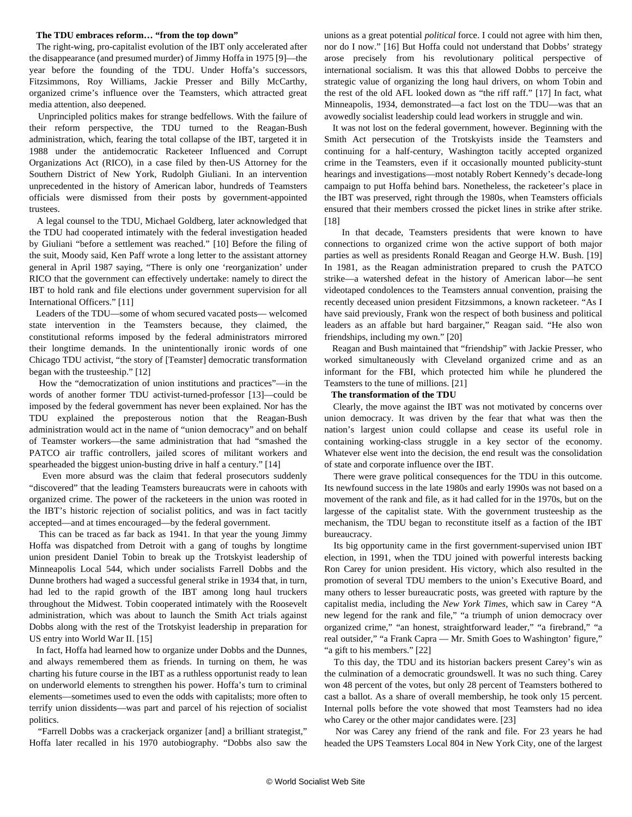## **The TDU embraces reform… "from the top down"**

 The right-wing, pro-capitalist evolution of the IBT only accelerated after the disappearance (and presumed murder) of Jimmy Hoffa in 1975 [9]—the year before the founding of the TDU. Under Hoffa's successors, Fitzsimmons, Roy Williams, Jackie Presser and Billy McCarthy, organized crime's influence over the Teamsters, which attracted great media attention, also deepened.

 Unprincipled politics makes for strange bedfellows. With the failure of their reform perspective, the TDU turned to the Reagan-Bush administration, which, fearing the total collapse of the IBT, targeted it in 1988 under the antidemocratic Racketeer Influenced and Corrupt Organizations Act (RICO), in a case filed by then-US Attorney for the Southern District of New York, Rudolph Giuliani. In an intervention unprecedented in the history of American labor, hundreds of Teamsters officials were dismissed from their posts by government-appointed trustees.

 A legal counsel to the TDU, Michael Goldberg, later acknowledged that the TDU had cooperated intimately with the federal investigation headed by Giuliani "before a settlement was reached." [10] Before the filing of the suit, Moody said, Ken Paff wrote a long letter to the assistant attorney general in April 1987 saying, "There is only one 'reorganization' under RICO that the government can effectively undertake: namely to direct the IBT to hold rank and file elections under government supervision for all International Officers." [11]

 Leaders of the TDU—some of whom secured vacated posts— welcomed state intervention in the Teamsters because, they claimed, the constitutional reforms imposed by the federal administrators mirrored their longtime demands. In the unintentionally ironic words of one Chicago TDU activist, "the story of [Teamster] democratic transformation began with the trusteeship." [12]

 How the "democratization of union institutions and practices"—in the words of another former TDU activist-turned-professor [13]—could be imposed by the federal government has never been explained. Nor has the TDU explained the preposterous notion that the Reagan-Bush administration would act in the name of "union democracy" and on behalf of Teamster workers—the same administration that had "smashed the PATCO air traffic controllers, jailed scores of militant workers and spearheaded the biggest union-busting drive in half a century." [14]

 Even more absurd was the claim that federal prosecutors suddenly "discovered" that the leading Teamsters bureaucrats were in cahoots with organized crime. The power of the racketeers in the union was rooted in the IBT's historic rejection of socialist politics, and was in fact tacitly accepted—and at times encouraged—by the federal government.

 This can be traced as far back as 1941. In that year the young Jimmy Hoffa was dispatched from Detroit with a gang of toughs by longtime union president Daniel Tobin to break up the Trotskyist leadership of Minneapolis Local 544, which under socialists Farrell Dobbs and the Dunne brothers had waged a successful general strike in 1934 that, in turn, had led to the rapid growth of the IBT among long haul truckers throughout the Midwest. Tobin cooperated intimately with the Roosevelt administration, which was about to launch the Smith Act trials against Dobbs along with the rest of the Trotskyist leadership in preparation for US entry into World War II. [15]

 In fact, Hoffa had learned how to organize under Dobbs and the Dunnes, and always remembered them as friends. In turning on them, he was charting his future course in the IBT as a ruthless opportunist ready to lean on underworld elements to strengthen his power. Hoffa's turn to criminal elements—sometimes used to even the odds with capitalists; more often to terrify union dissidents—was part and parcel of his rejection of socialist politics.

 "Farrell Dobbs was a crackerjack organizer [and] a brilliant strategist," Hoffa later recalled in his 1970 autobiography. "Dobbs also saw the unions as a great potential *political* force. I could not agree with him then, nor do I now." [16] But Hoffa could not understand that Dobbs' strategy arose precisely from his revolutionary political perspective of international socialism. It was this that allowed Dobbs to perceive the strategic value of organizing the long haul drivers, on whom Tobin and the rest of the old AFL looked down as "the riff raff." [17] In fact, what Minneapolis, 1934, demonstrated—a fact lost on the TDU—was that an avowedly socialist leadership could lead workers in struggle and win.

 It was not lost on the federal government, however. Beginning with the Smith Act persecution of the Trotskyists inside the Teamsters and continuing for a half-century, Washington tacitly accepted organized crime in the Teamsters, even if it occasionally mounted publicity-stunt hearings and investigations—most notably Robert Kennedy's decade-long campaign to put Hoffa behind bars. Nonetheless, the racketeer's place in the IBT was preserved, right through the 1980s, when Teamsters officials ensured that their members crossed the picket lines in strike after strike. [18]

 In that decade, Teamsters presidents that were known to have connections to organized crime won the active support of both major parties as well as presidents Ronald Reagan and George H.W. Bush. [19] In 1981, as the Reagan administration prepared to crush the PATCO strike—a watershed defeat in the history of American labor—he sent videotaped condolences to the Teamsters annual convention, praising the recently deceased union president Fitzsimmons, a known racketeer. "As I have said previously, Frank won the respect of both business and political leaders as an affable but hard bargainer," Reagan said. "He also won friendships, including my own." [20]

 Reagan and Bush maintained that "friendship" with Jackie Presser, who worked simultaneously with Cleveland organized crime and as an informant for the FBI, which protected him while he plundered the Teamsters to the tune of millions. [21]

#### **The transformation of the TDU**

 Clearly, the move against the IBT was not motivated by concerns over union democracy. It was driven by the fear that what was then the nation's largest union could collapse and cease its useful role in containing working-class struggle in a key sector of the economy. Whatever else went into the decision, the end result was the consolidation of state and corporate influence over the IBT.

 There were grave political consequences for the TDU in this outcome. Its newfound success in the late 1980s and early 1990s was not based on a movement of the rank and file, as it had called for in the 1970s, but on the largesse of the capitalist state. With the government trusteeship as the mechanism, the TDU began to reconstitute itself as a faction of the IBT bureaucracy.

 Its big opportunity came in the first government-supervised union IBT election, in 1991, when the TDU joined with powerful interests backing Ron Carey for union president. His victory, which also resulted in the promotion of several TDU members to the union's Executive Board, and many others to lesser bureaucratic posts, was greeted with rapture by the capitalist media, including the *New York Times*, which saw in Carey "A new legend for the rank and file," "a triumph of union democracy over organized crime," "an honest, straightforward leader," "a firebrand," "a real outsider," "a Frank Capra — Mr. Smith Goes to Washington' figure," "a gift to his members." [22]

 To this day, the TDU and its historian backers present Carey's win as the culmination of a democratic groundswell. It was no such thing. Carey won 48 percent of the votes, but only 28 percent of Teamsters bothered to cast a ballot. As a share of overall membership, he took only 15 percent. Internal polls before the vote showed that most Teamsters had no idea who Carey or the other major candidates were. [23]

 Nor was Carey any friend of the rank and file. For 23 years he had headed the UPS Teamsters Local 804 in New York City, one of the largest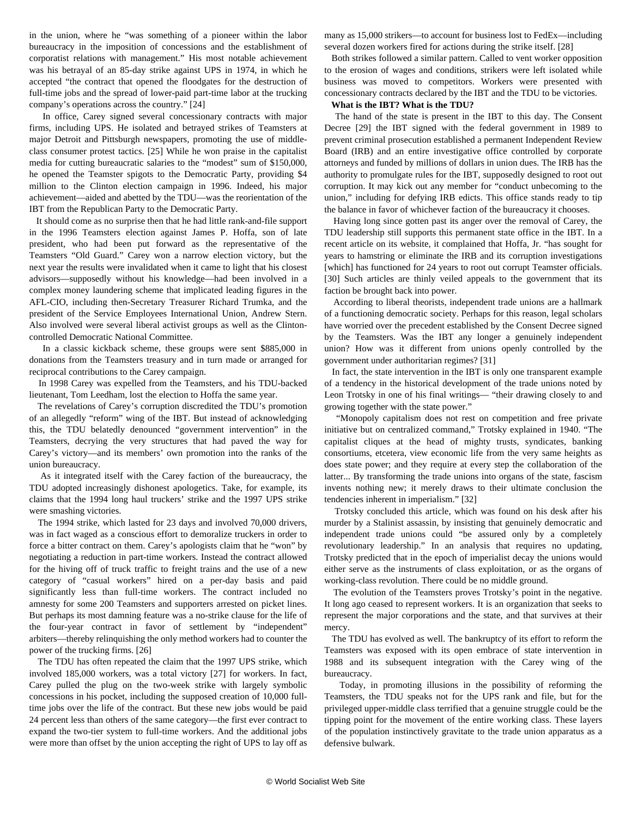in the union, where he "was something of a pioneer within the labor bureaucracy in the imposition of concessions and the establishment of corporatist relations with management." His most notable achievement was his betrayal of an 85-day strike against UPS in 1974, in which he accepted "the contract that opened the floodgates for the destruction of full-time jobs and the spread of lower-paid part-time labor at the trucking company's operations across the country." [24]

 In office, Carey signed several concessionary contracts with major firms, including UPS. He isolated and betrayed strikes of Teamsters at major Detroit and Pittsburgh newspapers, promoting the use of middleclass consumer protest tactics. [25] While he won praise in the capitalist media for cutting bureaucratic salaries to the "modest" sum of \$150,000, he opened the Teamster spigots to the Democratic Party, providing \$4 million to the Clinton election campaign in 1996. Indeed, his major achievement—aided and abetted by the TDU—was the reorientation of the IBT from the Republican Party to the Democratic Party.

 It should come as no surprise then that he had little rank-and-file support in the 1996 Teamsters election against James P. Hoffa, son of late president, who had been put forward as the representative of the Teamsters "Old Guard." Carey won a narrow election victory, but the next year the results were invalidated when it came to light that his closest advisors—supposedly without his knowledge—had been involved in a complex money laundering scheme that implicated leading figures in the AFL-CIO, including then-Secretary Treasurer Richard Trumka, and the president of the Service Employees International Union, Andrew Stern. Also involved were several liberal activist groups as well as the Clintoncontrolled Democratic National Committee.

 In a classic kickback scheme, these groups were sent \$885,000 in donations from the Teamsters treasury and in turn made or arranged for reciprocal contributions to the Carey campaign.

 In 1998 Carey was expelled from the Teamsters, and his TDU-backed lieutenant, Tom Leedham, lost the election to Hoffa the same year.

 The revelations of Carey's corruption discredited the TDU's promotion of an allegedly "reform" wing of the IBT. But instead of acknowledging this, the TDU belatedly denounced "government intervention" in the Teamsters, decrying the very structures that had paved the way for Carey's victory—and its members' own promotion into the ranks of the union bureaucracy.

 As it integrated itself with the Carey faction of the bureaucracy, the TDU adopted increasingly dishonest apologetics. Take, for example, its claims that the 1994 long haul truckers' strike and the 1997 UPS strike were smashing victories.

 The 1994 strike, which lasted for 23 days and involved 70,000 drivers, was in fact waged as a conscious effort to demoralize truckers in order to force a bitter contract on them. Carey's apologists claim that he "won" by negotiating a reduction in part-time workers. Instead the contract allowed for the hiving off of truck traffic to freight trains and the use of a new category of "casual workers" hired on a per-day basis and paid significantly less than full-time workers. The contract included no amnesty for some 200 Teamsters and supporters arrested on picket lines. But perhaps its most damning feature was a no-strike clause for the life of the four-year contract in favor of settlement by "independent" arbiters—thereby relinquishing the only method workers had to counter the power of the trucking firms. [26]

 The TDU has often repeated the claim that the 1997 UPS strike, which involved 185,000 workers, was a total victory [27] for workers. In fact, Carey pulled the plug on the two-week strike with largely symbolic concessions in his pocket, including the supposed creation of 10,000 fulltime jobs over the life of the contract. But these new jobs would be paid 24 percent less than others of the same category—the first ever contract to expand the two-tier system to full-time workers. And the additional jobs were more than offset by the union accepting the right of UPS to lay off as

many as 15,000 strikers—to account for business lost to FedEx—including several dozen workers fired for actions during the strike itself. [28]

 Both strikes followed a similar pattern. Called to vent worker opposition to the erosion of wages and conditions, strikers were left isolated while business was moved to competitors. Workers were presented with concessionary contracts declared by the IBT and the TDU to be victories.

#### **What is the IBT? What is the TDU?**

 The hand of the state is present in the IBT to this day. The Consent Decree [29] the IBT signed with the federal government in 1989 to prevent criminal prosecution established a permanent Independent Review Board (IRB) and an entire investigative office controlled by corporate attorneys and funded by millions of dollars in union dues. The IRB has the authority to promulgate rules for the IBT, supposedly designed to root out corruption. It may kick out any member for "conduct unbecoming to the union," including for defying IRB edicts. This office stands ready to tip the balance in favor of whichever faction of the bureaucracy it chooses.

 Having long since gotten past its anger over the removal of Carey, the TDU leadership still supports this permanent state office in the IBT. In a recent article on its website, it complained that Hoffa, Jr. "has sought for years to hamstring or eliminate the IRB and its corruption investigations [which] has functioned for 24 years to root out corrupt Teamster officials. [30] Such articles are thinly veiled appeals to the government that its faction be brought back into power.

 According to liberal theorists, independent trade unions are a hallmark of a functioning democratic society. Perhaps for this reason, legal scholars have worried over the precedent established by the Consent Decree signed by the Teamsters. Was the IBT any longer a genuinely independent union? How was it different from unions openly controlled by the government under authoritarian regimes? [31]

 In fact, the state intervention in the IBT is only one transparent example of a tendency in the historical development of the trade unions noted by Leon Trotsky in one of his final writings— "their drawing closely to and growing together with the state power."

 "Monopoly capitalism does not rest on competition and free private initiative but on centralized command," Trotsky explained in 1940. "The capitalist cliques at the head of mighty trusts, syndicates, banking consortiums, etcetera, view economic life from the very same heights as does state power; and they require at every step the collaboration of the latter... By transforming the trade unions into organs of the state, fascism invents nothing new; it merely draws to their ultimate conclusion the tendencies inherent in imperialism." [32]

 Trotsky concluded this article, which was found on his desk after his murder by a Stalinist assassin, by insisting that genuinely democratic and independent trade unions could "be assured only by a completely revolutionary leadership." In an analysis that requires no updating, Trotsky predicted that in the epoch of imperialist decay the unions would either serve as the instruments of class exploitation, or as the organs of working-class revolution. There could be no middle ground.

 The evolution of the Teamsters proves Trotsky's point in the negative. It long ago ceased to represent workers. It is an organization that seeks to represent the major corporations and the state, and that survives at their mercy.

 The TDU has evolved as well. The bankruptcy of its effort to reform the Teamsters was exposed with its open embrace of state intervention in 1988 and its subsequent integration with the Carey wing of the bureaucracy.

 Today, in promoting illusions in the possibility of reforming the Teamsters, the TDU speaks not for the UPS rank and file, but for the privileged upper-middle class terrified that a genuine struggle could be the tipping point for the movement of the entire working class. These layers of the population instinctively gravitate to the trade union apparatus as a defensive bulwark.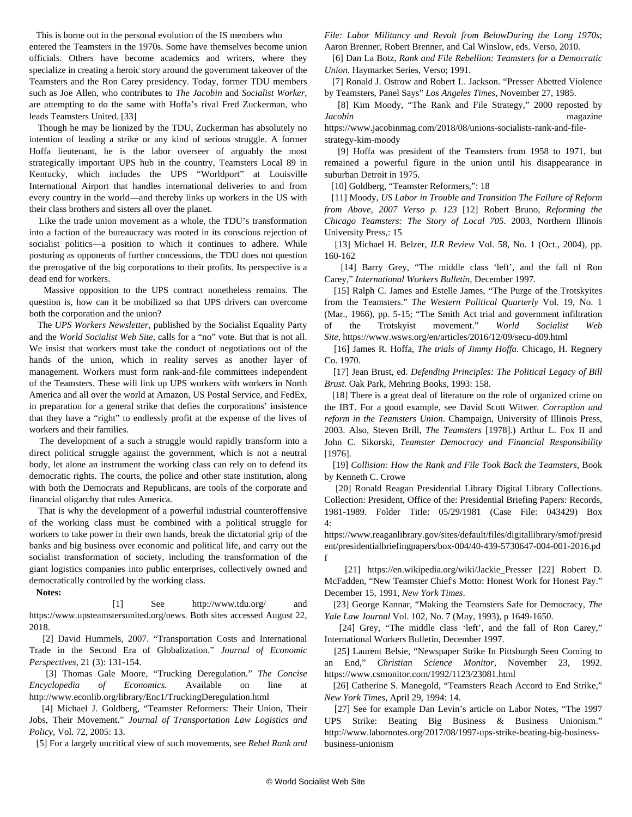This is borne out in the personal evolution of the IS members who

entered the Teamsters in the 1970s. Some have themselves become union officials. Others have become academics and writers, where they specialize in creating a heroic story around the government takeover of the Teamsters and the Ron Carey presidency. Today, former TDU members such as Joe Allen, who contributes to *The Jacobin* and *Socialist Worker*, are attempting to do the same with Hoffa's rival Fred Zuckerman, who leads Teamsters United. [33]

 Though he may be lionized by the TDU, Zuckerman has absolutely no intention of leading a strike or any kind of serious struggle. A former Hoffa lieutenant, he is the labor overseer of arguably the most strategically important UPS hub in the country, Teamsters Local 89 in Kentucky, which includes the UPS "Worldport" at Louisville International Airport that handles international deliveries to and from every country in the world—and thereby links up workers in the US with their class brothers and sisters all over the planet.

 Like the trade union movement as a whole, the TDU's transformation into a faction of the bureaucracy was rooted in its conscious rejection of socialist politics—a position to which it continues to adhere. While posturing as opponents of further concessions, the TDU does not question the prerogative of the big corporations to their profits. Its perspective is a dead end for workers.

 Massive opposition to the UPS contract nonetheless remains. The question is, how can it be mobilized so that UPS drivers can overcome both the corporation and the union?

 The *UPS Workers Newsletter*, published by the Socialist Equality Party and the *World Socialist Web Site*, calls for a "no" vote. But that is not all. We insist that workers must take the conduct of negotiations out of the hands of the union, which in reality serves as another layer of management. Workers must form rank-and-file committees independent of the Teamsters. These will link up UPS workers with workers in North America and all over the world at Amazon, US Postal Service, and FedEx, in preparation for a general strike that defies the corporations' insistence that they have a "right" to endlessly profit at the expense of the lives of workers and their families.

 The development of a such a struggle would rapidly transform into a direct political struggle against the government, which is not a neutral body, let alone an instrument the working class can rely on to defend its democratic rights. The courts, the police and other state institution, along with both the Democrats and Republicans, are tools of the corporate and financial oligarchy that rules America.

 That is why the development of a powerful industrial counteroffensive of the working class must be combined with a political struggle for workers to take power in their own hands, break the dictatorial grip of the banks and big business over economic and political life, and carry out the socialist transformation of society, including the transformation of the giant logistics companies into public enterprises, collectively owned and democratically controlled by the working class.

**Notes:**

 [1] See <http://www.tdu.org/>and <https://www.upsteamstersunited.org/news>. Both sites accessed August 22, 2018.

 [2] David Hummels, 2007. "Transportation Costs and International Trade in the Second Era of Globalization." *Journal of Economic Perspectives*, 21 (3): 131-154.

 [3] Thomas Gale Moore, "Trucking Deregulation." *The Concise Encyclopedia of Economics.* Available on line at <http://www.econlib.org/library/Enc1/TruckingDeregulation.html>

 [4] Michael J. Goldberg, "Teamster Reformers: Their Union, Their Jobs, Their Movement." *Journal of Transportation Law Logistics and Policy*, Vol. 72, 2005: 13.

[5] For a largely uncritical view of such movements, see *Rebel Rank and*

*File: Labor Militancy and Revolt from BelowDuring the Long 1970s*; Aaron Brenner, Robert Brenner, and Cal Winslow, eds. Verso, 2010.

 [6] Dan La Botz, *Rank and File Rebellion: Teamsters for a Democratic Union*. Haymarket Series, Verso; 1991.

 [7] Ronald J. Ostrow and Robert L. Jackson. "Presser Abetted Violence by Teamsters, Panel Says" *Los Angeles Times*, November 27, 1985.

 [8] Kim Moody, "The Rank and File Strategy," 2000 reposted by *Jacobin* magazine [https://www.jacobinmag.com/2018/08/unions-socialists-rank-and-file-](https://www.jacobinmag.com/2018/08/unions-socialists-rank-and-file-strategy-kim-moody)

[strategy-kim-moody](https://www.jacobinmag.com/2018/08/unions-socialists-rank-and-file-strategy-kim-moody)

 [9] Hoffa was president of the Teamsters from 1958 to 1971, but remained a powerful figure in the union until his disappearance in suburban Detroit in 1975.

[10] Goldberg, "Teamster Reformers,": 18

 [11] Moody, *US Labor in Trouble and Transition The Failure of Reform from Above, 2007 Verso p. 123* [12] Robert Bruno, *Reforming the Chicago Teamsters: The Story of Local 705*. 2003, Northern Illinois University Press,: 15

 [13] Michael H. Belzer, *ILR Review* Vol. 58, No. 1 (Oct., 2004), pp. 160-162

 [14] Barry Grey, "The middle class 'left', and the fall of Ron Carey," *International Workers Bulletin*, December 1997.

 [15] Ralph C. James and Estelle James, "The Purge of the Trotskyites from the Teamsters." *The Western Political Quarterly* Vol. 19, No. 1 (Mar., 1966), pp. 5-15; ["The Smith Act trial and government infiltration](/en/articles/2016/12/08/secu-d08.html) [of the Trotskyist movement."](/en/articles/2016/12/08/secu-d08.html) *World Socialist Web Site*, [https://www.wsws.org/en/articles/2016/12/09/secu-d09.html](/en/articles/2016/12/09/secu-d09.html)

 [16] James R. Hoffa, *The trials of Jimmy Hoffa*. Chicago, H. Regnery Co. 1970.

 [17] Jean Brust, ed. *Defending Principles: The Political Legacy of Bill Brust.* Oak Park, Mehring Books, 1993: 158.

 [18] There is a great deal of literature on the role of organized crime on the IBT. For a good example, see David Scott Witwer. *Corruption and reform in the Teamsters Union*. Champaign, University of Illinois Press, 2003. Also, Steven Brill, *The Teamsters* [1978].) Arthur L. Fox II and John C. Sikorski, *Teamster Democracy and Financial Responsibility* [1976].

 [19] *Collision: How the Rank and File Took Back the Teamsters*, Book by Kenneth C. Crowe

 [20] Ronald Reagan Presidential Library Digital Library Collections. Collection: President, Office of the: Presidential Briefing Papers: Records, 1981-1989. Folder Title: 05/29/1981 (Case File: 043429) Box 4:

[https://www.reaganlibrary.gov/sites/default/files/digitallibrary/smof/presid](https://www.reaganlibrary.gov/sites/default/files/digitallibrary/smof/president/presidentialbriefingpapers/box-004/40-439-5730647-004-001-2016.pdf) [ent/presidentialbriefingpapers/box-004/40-439-5730647-004-001-2016.pd](https://www.reaganlibrary.gov/sites/default/files/digitallibrary/smof/president/presidentialbriefingpapers/box-004/40-439-5730647-004-001-2016.pdf) [f](https://www.reaganlibrary.gov/sites/default/files/digitallibrary/smof/president/presidentialbriefingpapers/box-004/40-439-5730647-004-001-2016.pdf)

 [21] [https://en.wikipedia.org/wiki/Jackie\\_Presser](https://en.wikipedia.org/wiki/Jackie_Presser) [22] Robert D. McFadden, "New Teamster Chief's Motto: Honest Work for Honest Pay." December 15, 1991, *New York Times*.

 [23] George Kannar, "Making the Teamsters Safe for Democracy, *The Yale Law Journal* Vol. 102, No. 7 (May, 1993), p 1649-1650.

 [24] Grey, "The middle class 'left', and the fall of Ron Carey," International Workers Bulletin, December 1997.

 [25] Laurent Belsie, "Newspaper Strike In Pittsburgh Seen Coming to an End," *Christian Science Monitor*, November 23, 1992. <https://www.csmonitor.com/1992/1123/23081.html>

 [26] Catherine S. Manegold, "Teamsters Reach Accord to End Strike," *New York Times*, April 29, 1994: 14.

 [27] See for example Dan Levin's article on Labor Notes, "The 1997 UPS Strike: Beating Big Business & Business Unionism." [http://www.labornotes.org/2017/08/1997-ups-strike-beating-big-business](http://www.labornotes.org/2017/08/1997-ups-strike-beating-big-business-business-unionism)[business-unionism](http://www.labornotes.org/2017/08/1997-ups-strike-beating-big-business-business-unionism)